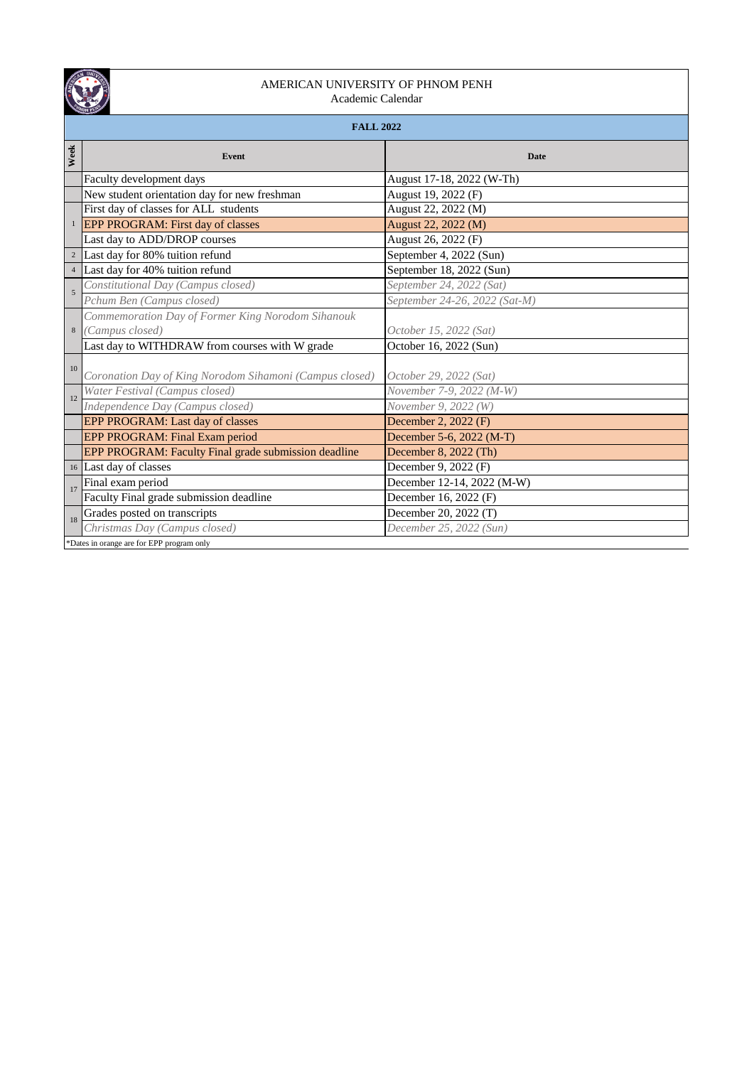

## AMERICAN UNIVERSITY OF PHNOM PENH Academic Calendar

|  |  | <b>FALL 202</b> |  |
|--|--|-----------------|--|

|                | <b>FALL 2022</b>                                        |                               |  |  |
|----------------|---------------------------------------------------------|-------------------------------|--|--|
| Week           | Event                                                   | <b>Date</b>                   |  |  |
|                | Faculty development days                                | August 17-18, 2022 (W-Th)     |  |  |
|                | New student orientation day for new freshman            | August 19, 2022 (F)           |  |  |
|                | First day of classes for ALL students                   | August 22, 2022 (M)           |  |  |
|                | <sup>1</sup> EPP PROGRAM: First day of classes          | August 22, 2022 (M)           |  |  |
|                | Last day to ADD/DROP courses                            | August 26, 2022 (F)           |  |  |
|                | <sup>2</sup> Last day for 80% tuition refund            | September 4, 2022 (Sun)       |  |  |
| $\overline{4}$ | Last day for 40% tuition refund                         | September 18, 2022 (Sun)      |  |  |
| $\overline{5}$ | Constitutional Day (Campus closed)                      | September 24, 2022 (Sat)      |  |  |
|                | Pchum Ben (Campus closed)                               | September 24-26, 2022 (Sat-M) |  |  |
|                | Commemoration Day of Former King Norodom Sihanouk       |                               |  |  |
| $\,$ 8 $\,$    | (Campus closed)                                         | October 15, 2022 (Sat)        |  |  |
|                | Last day to WITHDRAW from courses with W grade          | October 16, 2022 (Sun)        |  |  |
| 10             |                                                         |                               |  |  |
|                | Coronation Day of King Norodom Sihamoni (Campus closed) | October 29, 2022 (Sat)        |  |  |
| 12             | Water Festival (Campus closed)                          | November 7-9, 2022 (M-W)      |  |  |
|                | Independence Day (Campus closed)                        | November 9, 2022 (W)          |  |  |
|                | EPP PROGRAM: Last day of classes                        | December 2, 2022 (F)          |  |  |
|                | EPP PROGRAM: Final Exam period                          | December 5-6, 2022 (M-T)      |  |  |
|                | EPP PROGRAM: Faculty Final grade submission deadline    | December 8, 2022 (Th)         |  |  |
|                | 16 Last day of classes                                  | December 9, 2022 (F)          |  |  |
| 17             | Final exam period                                       | December 12-14, 2022 (M-W)    |  |  |
|                | Faculty Final grade submission deadline                 | December 16, 2022 (F)         |  |  |
| 18             | Grades posted on transcripts                            | December 20, 2022 (T)         |  |  |
|                | Christmas Day (Campus closed)                           | December 25, 2022 (Sun)       |  |  |
|                | *Dates in orange are for EPP program only               |                               |  |  |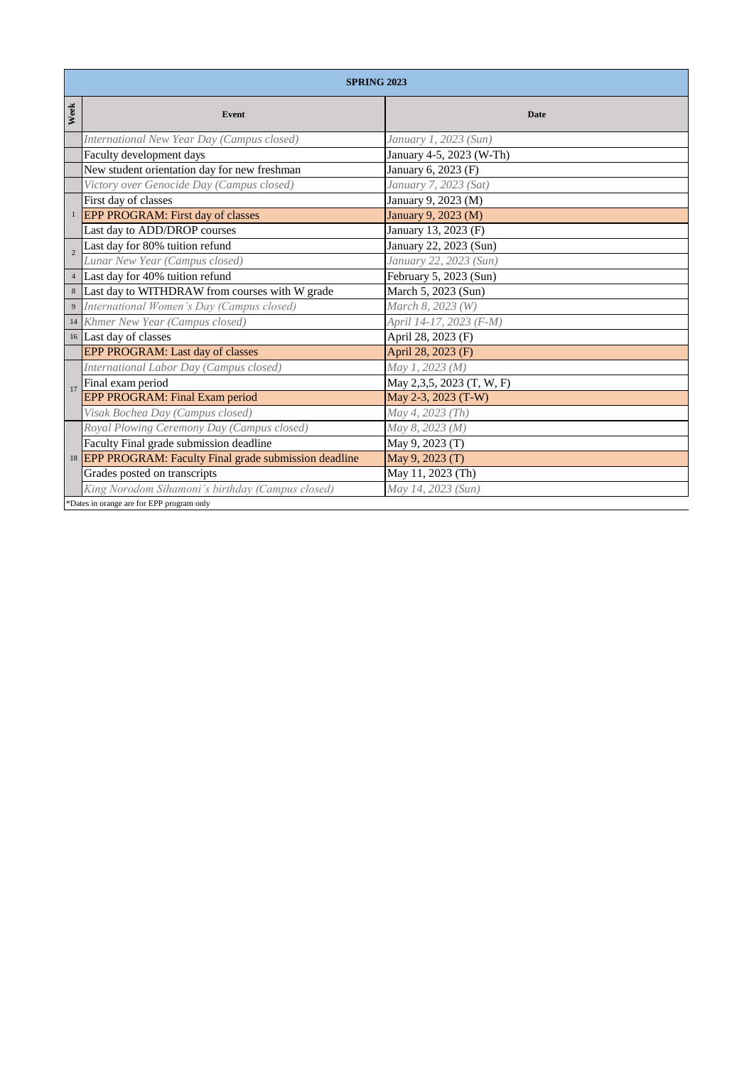|      | <b>SPRING 2023</b>                                                 |                           |  |
|------|--------------------------------------------------------------------|---------------------------|--|
| Week | Event                                                              | Date                      |  |
|      | International New Year Day (Campus closed)                         | January 1, 2023 (Sun)     |  |
|      | Faculty development days                                           | January 4-5, 2023 (W-Th)  |  |
|      | New student orientation day for new freshman                       | January 6, 2023 (F)       |  |
|      | Victory over Genocide Day (Campus closed)                          | January 7, 2023 (Sat)     |  |
|      | First day of classes                                               | January 9, 2023 (M)       |  |
|      | <b>EPP PROGRAM: First day of classes</b>                           | January 9, 2023 (M)       |  |
|      | Last day to ADD/DROP courses                                       | January 13, 2023 (F)      |  |
|      | Last day for 80% tuition refund                                    | January 22, 2023 (Sun)    |  |
|      | Lunar New Year (Campus closed)                                     | January 22, 2023 (Sun)    |  |
|      | 4 Last day for 40% tuition refund                                  | February 5, 2023 (Sun)    |  |
|      | 8 Last day to WITHDRAW from courses with W grade                   | March 5, 2023 (Sun)       |  |
|      | International Women's Day (Campus closed)                          | March 8, 2023 (W)         |  |
|      | 14 Khmer New Year (Campus closed)                                  | April 14-17, 2023 (F-M)   |  |
|      | 16 Last day of classes                                             | April 28, 2023 (F)        |  |
|      | EPP PROGRAM: Last day of classes                                   | April 28, 2023 (F)        |  |
|      | International Labor Day (Campus closed)                            | May 1, 2023 (M)           |  |
| 17   | Final exam period                                                  | May 2,3,5, 2023 (T, W, F) |  |
|      | EPP PROGRAM: Final Exam period                                     | May 2-3, 2023 (T-W)       |  |
|      | Visak Bochea Day (Campus closed)                                   | May 4, 2023 (Th)          |  |
|      | Royal Plowing Ceremony Day (Campus closed)                         | May 8, 2023 (M)           |  |
|      | Faculty Final grade submission deadline                            | May 9, 2023 (T)           |  |
|      | <sup>18</sup> EPP PROGRAM: Faculty Final grade submission deadline | May 9, 2023 (T)           |  |
|      | Grades posted on transcripts                                       | May 11, 2023 (Th)         |  |
|      | King Norodom Sihamoni's birthday (Campus closed)                   | May 14, 2023 (Sun)        |  |

\*Dates in orange are for EPP program only